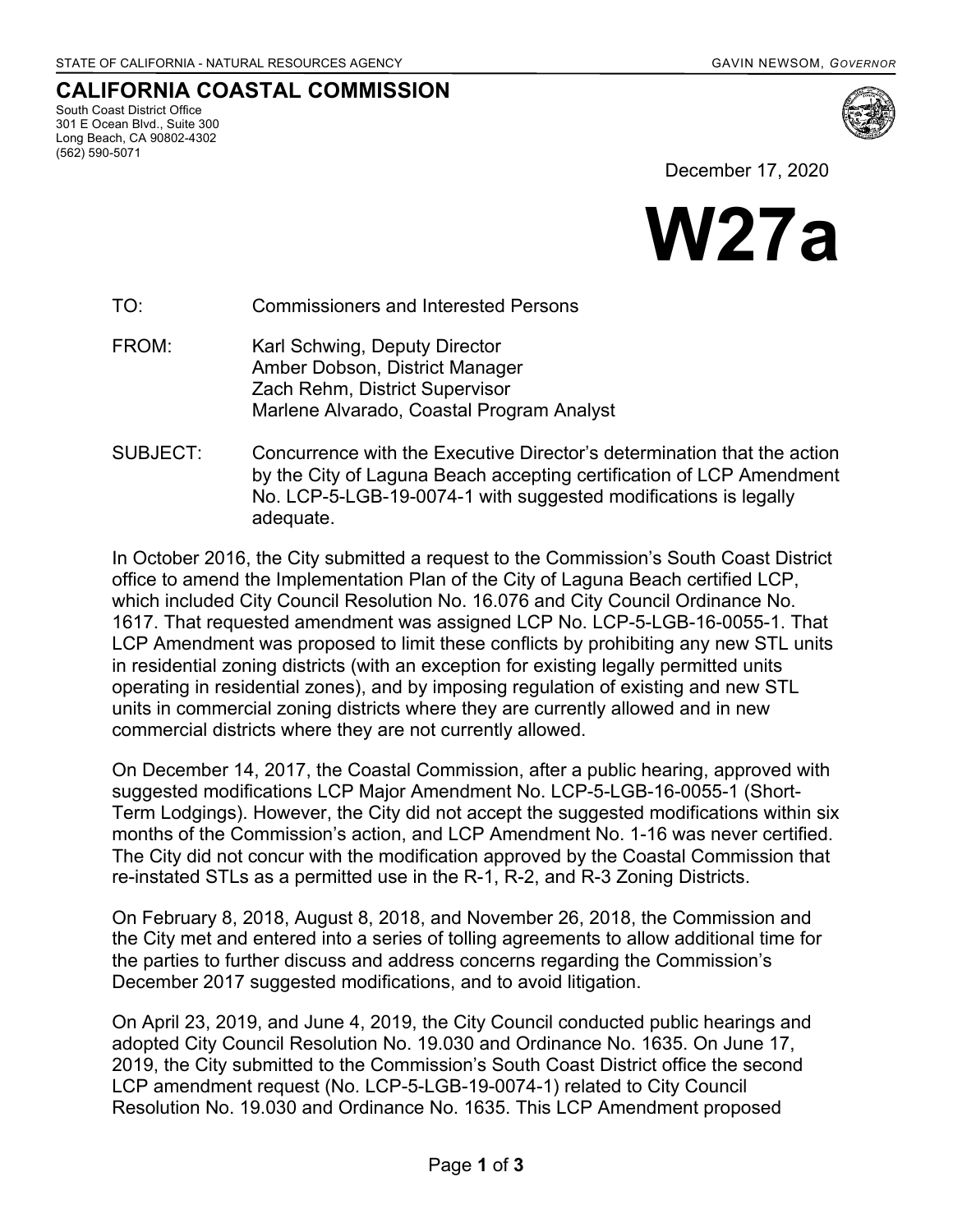**CALIFORNIA COASTAL COMMISSION**

South Coast District Office 301 E Ocean Blvd., Suite 300 Long Beach, CA 90802-4302 (562) 590-5071





TO: Commissioners and Interested Persons

- FROM: Karl Schwing, Deputy Director Amber Dobson, District Manager Zach Rehm, District Supervisor Marlene Alvarado, Coastal Program Analyst
- SUBJECT: Concurrence with the Executive Director's determination that the action by the City of Laguna Beach accepting certification of LCP Amendment No. LCP-5-LGB-19-0074-1 with suggested modifications is legally adequate.

In October 2016, the City submitted a request to the Commission's South Coast District office to amend the Implementation Plan of the City of Laguna Beach certified LCP, which included City Council Resolution No. 16.076 and City Council Ordinance No. 1617. That requested amendment was assigned LCP No. LCP-5-LGB-16-0055-1. That LCP Amendment was proposed to limit these conflicts by prohibiting any new STL units in residential zoning districts (with an exception for existing legally permitted units operating in residential zones), and by imposing regulation of existing and new STL units in commercial zoning districts where they are currently allowed and in new commercial districts where they are not currently allowed.

On December 14, 2017, the Coastal Commission, after a public hearing, approved with suggested modifications LCP Major Amendment No. LCP-5-LGB-16-0055-1 (Short-Term Lodgings). However, the City did not accept the suggested modifications within six months of the Commission's action, and LCP Amendment No. 1-16 was never certified. The City did not concur with the modification approved by the Coastal Commission that re-instated STLs as a permitted use in the R-1, R-2, and R-3 Zoning Districts.

On February 8, 2018, August 8, 2018, and November 26, 2018, the Commission and the City met and entered into a series of tolling agreements to allow additional time for the parties to further discuss and address concerns regarding the Commission's December 2017 suggested modifications, and to avoid litigation.

On April 23, 2019, and June 4, 2019, the City Council conducted public hearings and adopted City Council Resolution No. 19.030 and Ordinance No. 1635. On June 17, 2019, the City submitted to the Commission's South Coast District office the second LCP amendment request (No. LCP-5-LGB-19-0074-1) related to City Council Resolution No. 19.030 and Ordinance No. 1635. This LCP Amendment proposed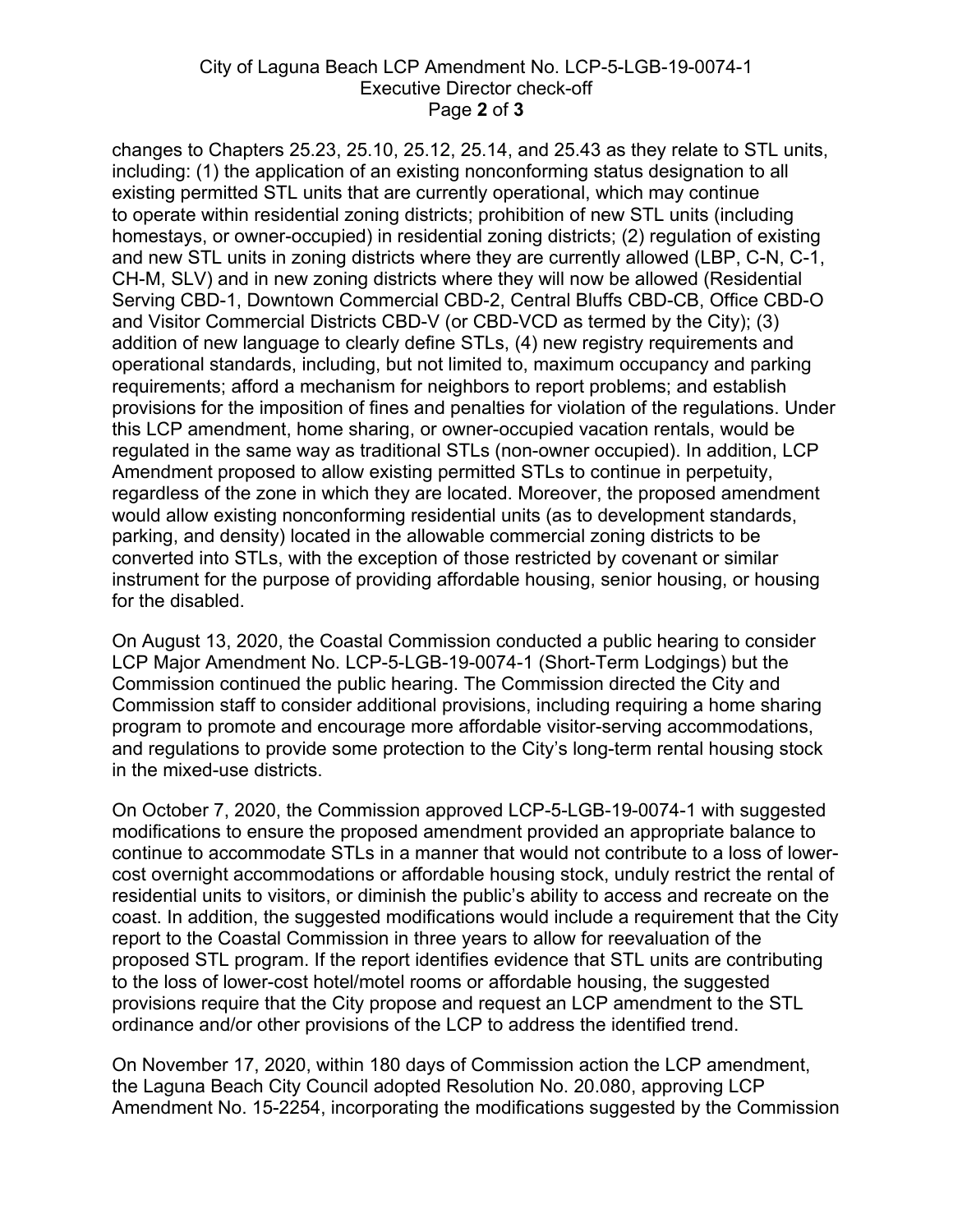## City of Laguna Beach LCP Amendment No. LCP-5-LGB-19-0074-1 Executive Director check-off Page **2** of **3**

changes to Chapters 25.23, 25.10, 25.12, 25.14, and 25.43 as they relate to STL units, including: (1) the application of an existing nonconforming status designation to all existing permitted STL units that are currently operational, which may continue to operate within residential zoning districts; prohibition of new STL units (including homestays, or owner-occupied) in residential zoning districts; (2) regulation of existing and new STL units in zoning districts where they are currently allowed (LBP, C-N, C-1, CH-M, SLV) and in new zoning districts where they will now be allowed (Residential Serving CBD-1, Downtown Commercial CBD-2, Central Bluffs CBD-CB, Office CBD-O and Visitor Commercial Districts CBD-V (or CBD-VCD as termed by the City); (3) addition of new language to clearly define STLs, (4) new registry requirements and operational standards, including, but not limited to, maximum occupancy and parking requirements; afford a mechanism for neighbors to report problems; and establish provisions for the imposition of fines and penalties for violation of the regulations. Under this LCP amendment, home sharing, or owner-occupied vacation rentals, would be regulated in the same way as traditional STLs (non-owner occupied). In addition, LCP Amendment proposed to allow existing permitted STLs to continue in perpetuity, regardless of the zone in which they are located. Moreover, the proposed amendment would allow existing nonconforming residential units (as to development standards, parking, and density) located in the allowable commercial zoning districts to be converted into STLs, with the exception of those restricted by covenant or similar instrument for the purpose of providing affordable housing, senior housing, or housing for the disabled.

On August 13, 2020, the Coastal Commission conducted a public hearing to consider LCP Major Amendment No. LCP-5-LGB-19-0074-1 (Short-Term Lodgings) but the Commission continued the public hearing. The Commission directed the City and Commission staff to consider additional provisions, including requiring a home sharing program to promote and encourage more affordable visitor-serving accommodations, and regulations to provide some protection to the City's long-term rental housing stock in the mixed-use districts.

On October 7, 2020, the Commission approved LCP-5-LGB-19-0074-1 with suggested modifications to ensure the proposed amendment provided an appropriate balance to continue to accommodate STLs in a manner that would not contribute to a loss of lowercost overnight accommodations or affordable housing stock, unduly restrict the rental of residential units to visitors, or diminish the public's ability to access and recreate on the coast. In addition, the suggested modifications would include a requirement that the City report to the Coastal Commission in three years to allow for reevaluation of the proposed STL program. If the report identifies evidence that STL units are contributing to the loss of lower-cost hotel/motel rooms or affordable housing, the suggested provisions require that the City propose and request an LCP amendment to the STL ordinance and/or other provisions of the LCP to address the identified trend.

On November 17, 2020, within 180 days of Commission action the LCP amendment, the Laguna Beach City Council adopted Resolution No. 20.080, approving LCP Amendment No. 15-2254, incorporating the modifications suggested by the Commission